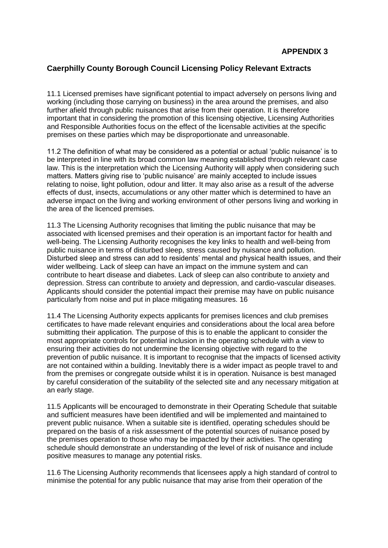## **Caerphilly County Borough Council Licensing Policy Relevant Extracts**

11.1 Licensed premises have significant potential to impact adversely on persons living and working (including those carrying on business) in the area around the premises, and also further afield through public nuisances that arise from their operation. It is therefore important that in considering the promotion of this licensing objective, Licensing Authorities and Responsible Authorities focus on the effect of the licensable activities at the specific premises on these parties which may be disproportionate and unreasonable.

11.2 The definition of what may be considered as a potential or actual 'public nuisance' is to be interpreted in line with its broad common law meaning established through relevant case law. This is the interpretation which the Licensing Authority will apply when considering such matters. Matters giving rise to 'public nuisance' are mainly accepted to include issues relating to noise, light pollution, odour and litter. It may also arise as a result of the adverse effects of dust, insects, accumulations or any other matter which is determined to have an adverse impact on the living and working environment of other persons living and working in the area of the licenced premises.

11.3 The Licensing Authority recognises that limiting the public nuisance that may be associated with licensed premises and their operation is an important factor for health and well-being. The Licensing Authority recognises the key links to health and well-being from public nuisance in terms of disturbed sleep, stress caused by nuisance and pollution. Disturbed sleep and stress can add to residents' mental and physical health issues, and their wider wellbeing. Lack of sleep can have an impact on the immune system and can contribute to heart disease and diabetes. Lack of sleep can also contribute to anxiety and depression. Stress can contribute to anxiety and depression, and cardio-vascular diseases. Applicants should consider the potential impact their premise may have on public nuisance particularly from noise and put in place mitigating measures. 16

11.4 The Licensing Authority expects applicants for premises licences and club premises certificates to have made relevant enquiries and considerations about the local area before submitting their application. The purpose of this is to enable the applicant to consider the most appropriate controls for potential inclusion in the operating schedule with a view to ensuring their activities do not undermine the licensing objective with regard to the prevention of public nuisance. It is important to recognise that the impacts of licensed activity are not contained within a building. Inevitably there is a wider impact as people travel to and from the premises or congregate outside whilst it is in operation. Nuisance is best managed by careful consideration of the suitability of the selected site and any necessary mitigation at an early stage.

11.5 Applicants will be encouraged to demonstrate in their Operating Schedule that suitable and sufficient measures have been identified and will be implemented and maintained to prevent public nuisance. When a suitable site is identified, operating schedules should be prepared on the basis of a risk assessment of the potential sources of nuisance posed by the premises operation to those who may be impacted by their activities. The operating schedule should demonstrate an understanding of the level of risk of nuisance and include positive measures to manage any potential risks.

11.6 The Licensing Authority recommends that licensees apply a high standard of control to minimise the potential for any public nuisance that may arise from their operation of the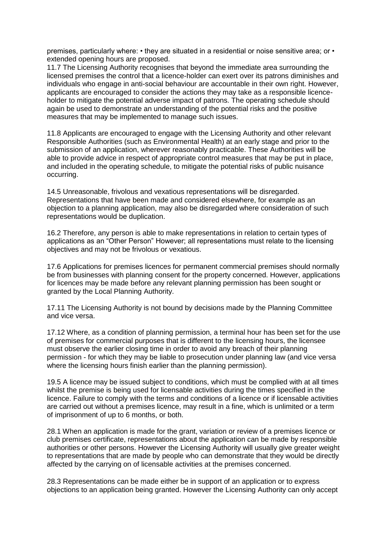premises, particularly where: • they are situated in a residential or noise sensitive area; or • extended opening hours are proposed.

11.7 The Licensing Authority recognises that beyond the immediate area surrounding the licensed premises the control that a licence-holder can exert over its patrons diminishes and individuals who engage in anti-social behaviour are accountable in their own right. However, applicants are encouraged to consider the actions they may take as a responsible licenceholder to mitigate the potential adverse impact of patrons. The operating schedule should again be used to demonstrate an understanding of the potential risks and the positive measures that may be implemented to manage such issues.

11.8 Applicants are encouraged to engage with the Licensing Authority and other relevant Responsible Authorities (such as Environmental Health) at an early stage and prior to the submission of an application, wherever reasonably practicable. These Authorities will be able to provide advice in respect of appropriate control measures that may be put in place, and included in the operating schedule, to mitigate the potential risks of public nuisance occurring.

14.5 Unreasonable, frivolous and vexatious representations will be disregarded. Representations that have been made and considered elsewhere, for example as an objection to a planning application, may also be disregarded where consideration of such representations would be duplication.

16.2 Therefore, any person is able to make representations in relation to certain types of applications as an "Other Person" However; all representations must relate to the licensing objectives and may not be frivolous or vexatious.

17.6 Applications for premises licences for permanent commercial premises should normally be from businesses with planning consent for the property concerned. However, applications for licences may be made before any relevant planning permission has been sought or granted by the Local Planning Authority.

17.11 The Licensing Authority is not bound by decisions made by the Planning Committee and vice versa.

17.12 Where, as a condition of planning permission, a terminal hour has been set for the use of premises for commercial purposes that is different to the licensing hours, the licensee must observe the earlier closing time in order to avoid any breach of their planning permission - for which they may be liable to prosecution under planning law (and vice versa where the licensing hours finish earlier than the planning permission).

19.5 A licence may be issued subject to conditions, which must be complied with at all times whilst the premise is being used for licensable activities during the times specified in the licence. Failure to comply with the terms and conditions of a licence or if licensable activities are carried out without a premises licence, may result in a fine, which is unlimited or a term of imprisonment of up to 6 months, or both.

28.1 When an application is made for the grant, variation or review of a premises licence or club premises certificate, representations about the application can be made by responsible authorities or other persons. However the Licensing Authority will usually give greater weight to representations that are made by people who can demonstrate that they would be directly affected by the carrying on of licensable activities at the premises concerned.

28.3 Representations can be made either be in support of an application or to express objections to an application being granted. However the Licensing Authority can only accept